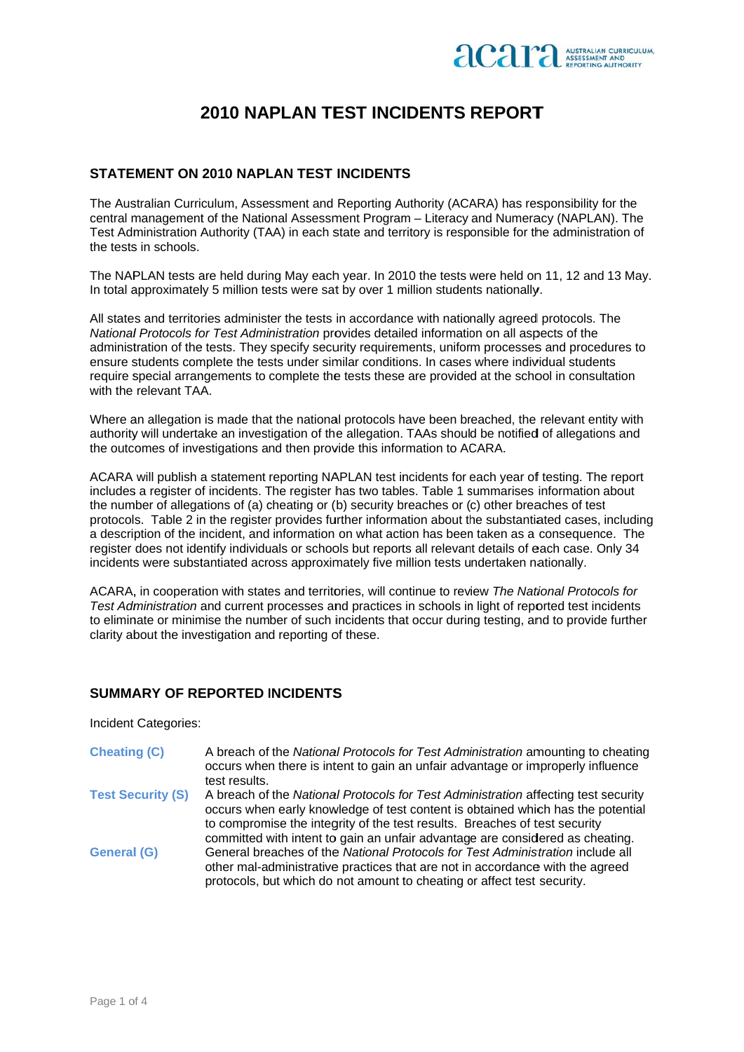

## **2010 NAPLAN TEST INCIDENTS REPORT**

#### STATEMENT ON 2010 NAPLAN TEST INCIDENTS

The Australian Curriculum, Assessment and Reporting Authority (ACARA) has responsibility for the central management of the National Assessment Program - Literacy and Numeracy (NAPLAN). The Test Administration Authority (TAA) in each state and territory is responsible for the administration of the tests in schools.

The NAPLAN tests are held during May each year. In 2010 the tests were held on 11, 12 and 13 May. In total approximately 5 million tests were sat by over 1 million students nationally.

All states and territories administer the tests in accordance with nationally agreed protocols. The National Protocols for Test Administration provides detailed information on all aspects of the administration of the tests. They specify security requirements, uniform processes and procedures to ensure students complete the tests under similar conditions. In cases where individual students require special arrangements to complete the tests these are provided at the school in consultation with the relevant TAA.

Where an allegation is made that the national protocols have been breached, the relevant entity with authority will undertake an investigation of the allegation. TAAs should be notified of allegations and the outcomes of investigations and then provide this information to ACARA.

ACARA will publish a statement reporting NAPLAN test incidents for each year of testing. The report includes a register of incidents. The register has two tables. Table 1 summarises information about the number of allegations of (a) cheating or (b) security breaches or (c) other breaches of test protocols. Table 2 in the register provides further information about the substantiated cases, including a description of the incident, and information on what action has been taken as a consequence. The register does not identify individuals or schools but reports all relevant details of each case. Only 34 incidents were substantiated across approximately five million tests undertaken nationally.

ACARA, in cooperation with states and territories, will continue to review The National Protocols for Test Administration and current processes and practices in schools in light of reported test incidents to eliminate or minimise the number of such incidents that occur during testing, and to provide further clarity about the investigation and reporting of these.

### SUMMARY OF REPORTED INCIDENTS

Incident Categories:

**Cheating (C)** A breach of the National Protocols for Test Administration amounting to cheating occurs when there is intent to gain an unfair advantage or improperly influence test results. **Test Security (S)** A breach of the National Protocols for Test Administration affecting test security occurs when early knowledge of test content is obtained which has the potential to compromise the integrity of the test results. Breaches of test security committed with intent to gain an unfair advantage are considered as cheating. **General (G)** General breaches of the National Protocols for Test Administration include all other mal-administrative practices that are not in accordance with the agreed protocols, but which do not amount to cheating or affect test security.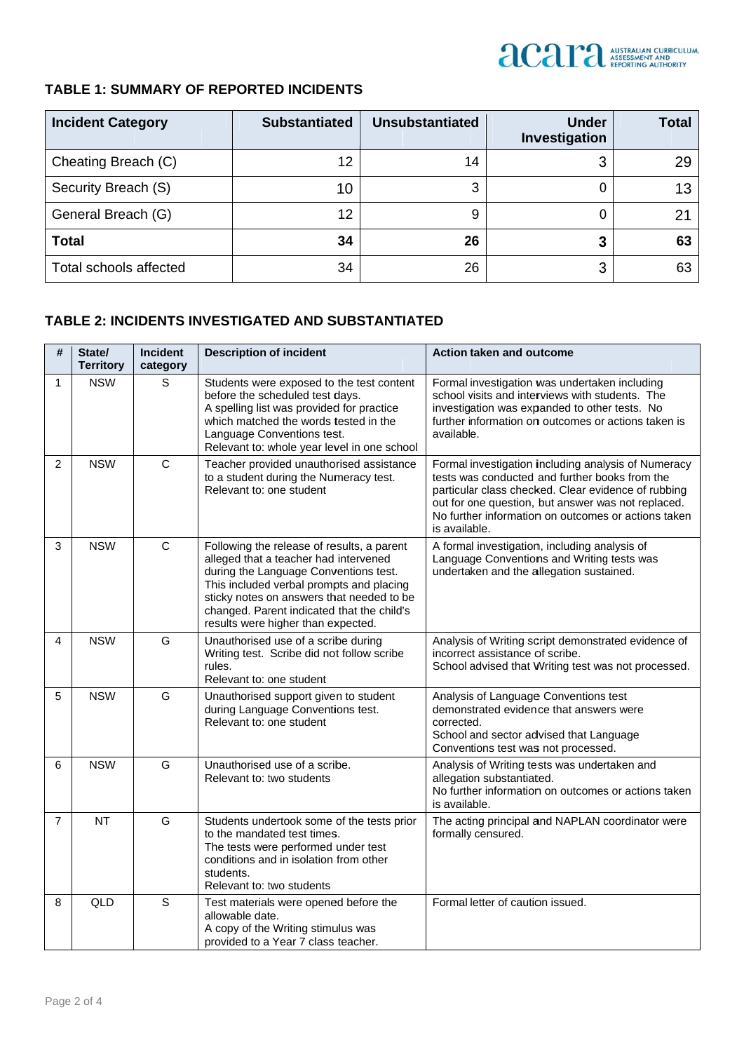

#### **TABLE 1: SUMMARY OF REPORTED INCIDENTS**

| <b>Incident Category</b> | <b>Substantiated</b> | <b>Unsubstantiated</b> | <b>Under</b><br>Investigation | <b>Total</b> |
|--------------------------|----------------------|------------------------|-------------------------------|--------------|
| Cheating Breach (C)      | 12                   | 14                     | 3                             | 29           |
| Security Breach (S)      | 10                   | 3                      |                               | 13           |
| General Breach (G)       | 12                   | 9                      |                               | ヮ・           |
| <b>Total</b>             | 34                   | 26                     | 3                             | 63           |
| Total schools affected   | 34                   | 26                     | 3                             | 63           |

#### **TAB BLE 2: INC IDENTS IN VESTIGAT TED AND S SUBSTANT IATED**

| #              | State/<br><b>Territory</b> | Incident<br>category | <b>Description of incident</b>                                                                                                                                                                                                                                                                            | <b>Action taken and outcome</b>                                                                                                                                                                                                                                                            |
|----------------|----------------------------|----------------------|-----------------------------------------------------------------------------------------------------------------------------------------------------------------------------------------------------------------------------------------------------------------------------------------------------------|--------------------------------------------------------------------------------------------------------------------------------------------------------------------------------------------------------------------------------------------------------------------------------------------|
| $\mathbf{1}$   | <b>NSW</b>                 | S                    | Students were exposed to the test content<br>before the scheduled test days.<br>A spelling list was provided for practice<br>which matched the words tested in the<br>Language Conventions test.<br>Relevant to: whole year level in one school                                                           | Formal investigation was undertaken including<br>school visits and interviews with students. The<br>investigation was expanded to other tests. No<br>further information on outcomes or actions taken is<br>available.                                                                     |
| 2              | <b>NSW</b>                 | $\mathsf{C}$         | Teacher provided unauthorised assistance<br>to a student during the Numeracy test.<br>Relevant to: one student                                                                                                                                                                                            | Formal investigation including analysis of Numeracy<br>tests was conducted and further books from the<br>particular class checked. Clear evidence of rubbing<br>out for one question, but answer was not replaced.<br>No further information on outcomes or actions taken<br>is available. |
| 3              | <b>NSW</b>                 | $\mathsf{C}$         | Following the release of results, a parent<br>alleged that a teacher had intervened<br>during the Language Conventions test.<br>This included verbal prompts and placing<br>sticky notes on answers that needed to be<br>changed. Parent indicated that the child's<br>results were higher than expected. | A formal investigation, including analysis of<br>Language Conventions and Writing tests was<br>undertaken and the allegation sustained.                                                                                                                                                    |
| 4              | <b>NSW</b>                 | G                    | Unauthorised use of a scribe during<br>Writing test. Scribe did not follow scribe<br>rules.<br>Relevant to: one student                                                                                                                                                                                   | Analysis of Writing script demonstrated evidence of<br>incorrect assistance of scribe.<br>School advised that Writing test was not processed.                                                                                                                                              |
| 5              | <b>NSW</b>                 | G                    | Unauthorised support given to student<br>during Language Conventions test.<br>Relevant to: one student                                                                                                                                                                                                    | Analysis of Language Conventions test<br>demonstrated evidence that answers were<br>corrected.<br>School and sector advised that Language<br>Conventions test was not processed.                                                                                                           |
| 6              | <b>NSW</b>                 | G                    | Unauthorised use of a scribe.<br>Relevant to: two students                                                                                                                                                                                                                                                | Analysis of Writing tests was undertaken and<br>allegation substantiated.<br>No further information on outcomes or actions taken<br>is available.                                                                                                                                          |
| $\overline{7}$ | <b>NT</b>                  | G                    | Students undertook some of the tests prior<br>to the mandated test times.<br>The tests were performed under test<br>conditions and in isolation from other<br>students.<br>Relevant to: two students                                                                                                      | The acting principal and NAPLAN coordinator were<br>formally censured.                                                                                                                                                                                                                     |
| 8              | QLD                        | $\mathbf S$          | Test materials were opened before the<br>allowable date.<br>A copy of the Writing stimulus was<br>provided to a Year 7 class teacher.                                                                                                                                                                     | Formal letter of caution issued.                                                                                                                                                                                                                                                           |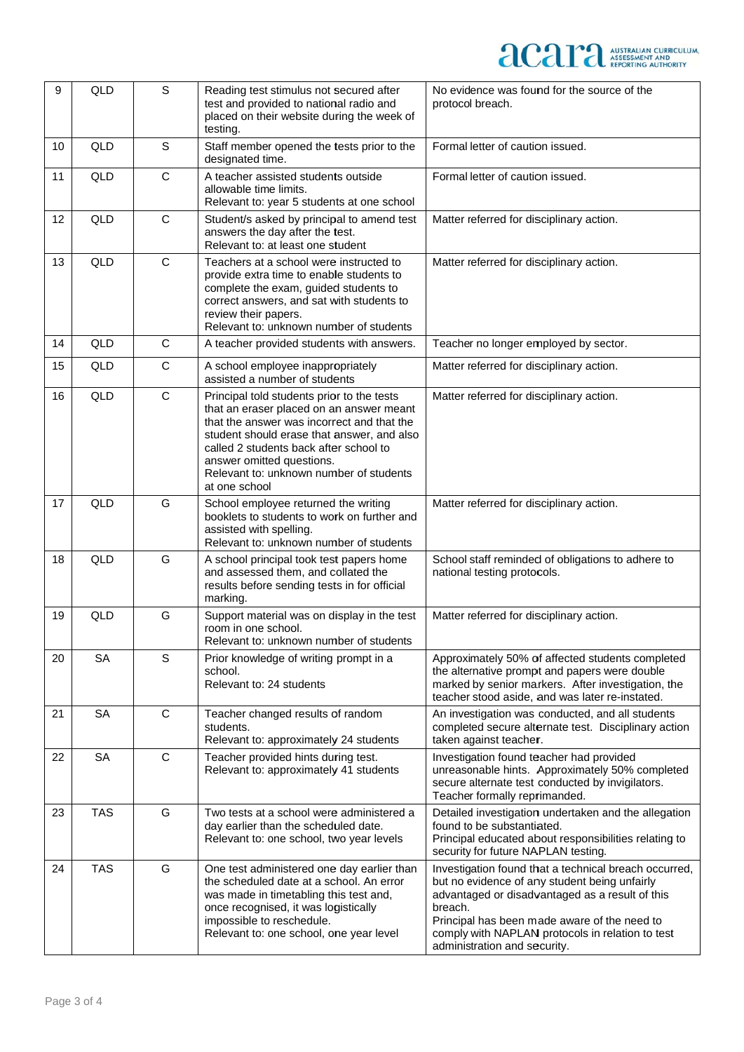# **accuration** ASSESSMENT AND

| 9  | QLD        | S            | Reading test stimulus not secured after<br>test and provided to national radio and<br>placed on their website during the week of<br>testing.                                                                                                                                                                          | No evidence was found for the source of the<br>protocol breach.                                                                                                                                                                                                                                          |
|----|------------|--------------|-----------------------------------------------------------------------------------------------------------------------------------------------------------------------------------------------------------------------------------------------------------------------------------------------------------------------|----------------------------------------------------------------------------------------------------------------------------------------------------------------------------------------------------------------------------------------------------------------------------------------------------------|
| 10 | <b>QLD</b> | S            | Staff member opened the tests prior to the<br>designated time.                                                                                                                                                                                                                                                        | Formal letter of caution issued.                                                                                                                                                                                                                                                                         |
| 11 | QLD        | $\mathsf{C}$ | A teacher assisted students outside<br>allowable time limits.<br>Relevant to: year 5 students at one school                                                                                                                                                                                                           | Formal letter of caution issued.                                                                                                                                                                                                                                                                         |
| 12 | QLD        | $\mathsf C$  | Student/s asked by principal to amend test<br>answers the day after the test.<br>Relevant to: at least one student                                                                                                                                                                                                    | Matter referred for disciplinary action.                                                                                                                                                                                                                                                                 |
| 13 | QLD        | $\mathsf C$  | Teachers at a school were instructed to<br>provide extra time to enable students to<br>complete the exam, guided students to<br>correct answers, and sat with students to<br>review their papers.<br>Relevant to: unknown number of students                                                                          | Matter referred for disciplinary action.                                                                                                                                                                                                                                                                 |
| 14 | QLD        | $\mathbf C$  | A teacher provided students with answers.                                                                                                                                                                                                                                                                             | Teacher no longer employed by sector.                                                                                                                                                                                                                                                                    |
| 15 | QLD        | $\mathbf C$  | A school employee inappropriately<br>assisted a number of students                                                                                                                                                                                                                                                    | Matter referred for disciplinary action.                                                                                                                                                                                                                                                                 |
| 16 | QLD        | $\mathsf{C}$ | Principal told students prior to the tests<br>that an eraser placed on an answer meant<br>that the answer was incorrect and that the<br>student should erase that answer, and also<br>called 2 students back after school to<br>answer omitted questions.<br>Relevant to: unknown number of students<br>at one school | Matter referred for disciplinary action.                                                                                                                                                                                                                                                                 |
| 17 | <b>QLD</b> | G            | School employee returned the writing<br>booklets to students to work on further and<br>assisted with spelling.<br>Relevant to: unknown number of students                                                                                                                                                             | Matter referred for disciplinary action.                                                                                                                                                                                                                                                                 |
| 18 | QLD        | G            | A school principal took test papers home<br>and assessed them, and collated the<br>results before sending tests in for official<br>marking.                                                                                                                                                                           | School staff reminded of obligations to adhere to<br>national testing protocols.                                                                                                                                                                                                                         |
| 19 | QLD        | G            | Support material was on display in the test<br>room in one school.<br>Relevant to: unknown number of students                                                                                                                                                                                                         | Matter referred for disciplinary action.                                                                                                                                                                                                                                                                 |
| 20 | <b>SA</b>  | S            | Prior knowledge of writing prompt in a<br>school.<br>Relevant to: 24 students                                                                                                                                                                                                                                         | Approximately 50% of affected students completed<br>the alternative prompt and papers were double<br>marked by senior markers. After investigation, the<br>teacher stood aside, and was later re-instated.                                                                                               |
| 21 | <b>SA</b>  | $\mathbf C$  | Teacher changed results of random<br>students.<br>Relevant to: approximately 24 students                                                                                                                                                                                                                              | An investigation was conducted, and all students<br>completed secure alternate test. Disciplinary action<br>taken against teacher.                                                                                                                                                                       |
| 22 | <b>SA</b>  | $\mathbf C$  | Teacher provided hints during test.<br>Relevant to: approximately 41 students                                                                                                                                                                                                                                         | Investigation found teacher had provided<br>unreasonable hints. Approximately 50% completed<br>secure alternate test conducted by invigilators.<br>Teacher formally reprimanded.                                                                                                                         |
| 23 | <b>TAS</b> | G            | Two tests at a school were administered a<br>day earlier than the scheduled date.<br>Relevant to: one school, two year levels                                                                                                                                                                                         | Detailed investigation undertaken and the allegation<br>found to be substantiated.<br>Principal educated about responsibilities relating to<br>security for future NAPLAN testing.                                                                                                                       |
| 24 | <b>TAS</b> | G            | One test administered one day earlier than<br>the scheduled date at a school. An error<br>was made in timetabling this test and,<br>once recognised, it was logistically<br>impossible to reschedule.<br>Relevant to: one school, one year level                                                                      | Investigation found that a technical breach occurred,<br>but no evidence of any student being unfairly<br>advantaged or disadvantaged as a result of this<br>breach.<br>Principal has been made aware of the need to<br>comply with NAPLAN protocols in relation to test<br>administration and security. |